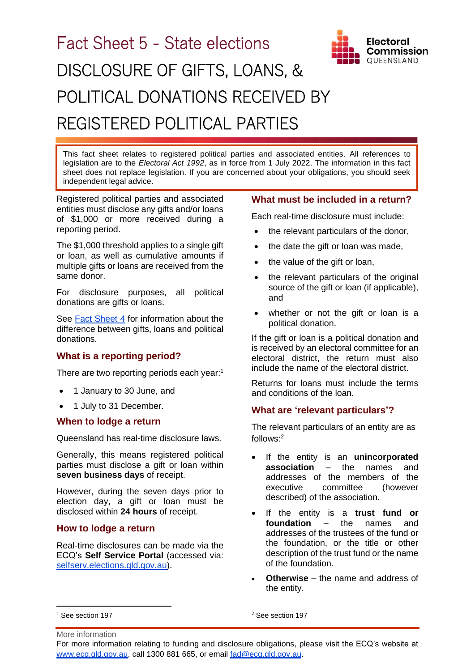

This fact sheet relates to registered political parties and associated entities. All references to legislation are to the *Electoral Act 1992*, as in force from 1 July 2022. The information in this fact sheet does not replace legislation. If you are concerned about your obligations, you should seek independent legal advice.

Registered political parties and associated entities must disclose any gifts and/or loans of \$1,000 or more received during a reporting period.

The \$1,000 threshold applies to a single gift or loan, as well as cumulative amounts if multiple gifts or loans are received from the same donor.

For disclosure purposes, all political donations are gifts or loans.

See [Fact Sheet 4](https://www.ecq.qld.gov.au/election-participants/handbooks,-fact-sheets-and-forms) for information about the difference between gifts, loans and political donations.

### **What is a reporting period?**

There are two reporting periods each year: $1$ 

- 1 January to 30 June, and
- 1 July to 31 December.

#### **When to lodge a return**

Queensland has real-time disclosure laws.

Generally, this means registered political parties must disclose a gift or loan within **seven business days** of receipt.

However, during the seven days prior to election day, a gift or loan must be disclosed within **24 hours** of receipt.

### **How to lodge a return**

Real-time disclosures can be made via the ECQ's **Self Service Portal** (accessed via: selfserv.elections.gld.gov.au).

## **What must be included in a return?**

**Electoral** Commission OUEENSLAND

Each real-time disclosure must include:

- the relevant particulars of the donor,
- the date the gift or loan was made,
- the value of the gift or loan,
- the relevant particulars of the original source of the gift or loan (if applicable), and
- whether or not the gift or loan is a political donation.

If the gift or loan is a political donation and is received by an electoral committee for an electoral district, the return must also include the name of the electoral district.

Returns for loans must include the terms and conditions of the loan.

#### **What are 'relevant particulars'?**

The relevant particulars of an entity are as follows: 2

- If the entity is an **unincorporated association** – the names and addresses of the members of the executive committee (however described) of the association.
- If the entity is a **trust fund or foundation** – the names and addresses of the trustees of the fund or the foundation, or the title or other description of the trust fund or the name of the foundation.
- **Otherwise** the name and address of the entity.

<sup>2</sup> See section 197

<sup>1</sup> See section 197

More information

For more information relating to funding and disclosure obligations, please visit the ECQ's website at [www.ecq.qld.gov.au,](http://www.ecq.qld.gov.au/) call 1300 881 665, or email [fad@ecq.qld.gov.au.](mailto:fad@ecq.qld.gov.au)